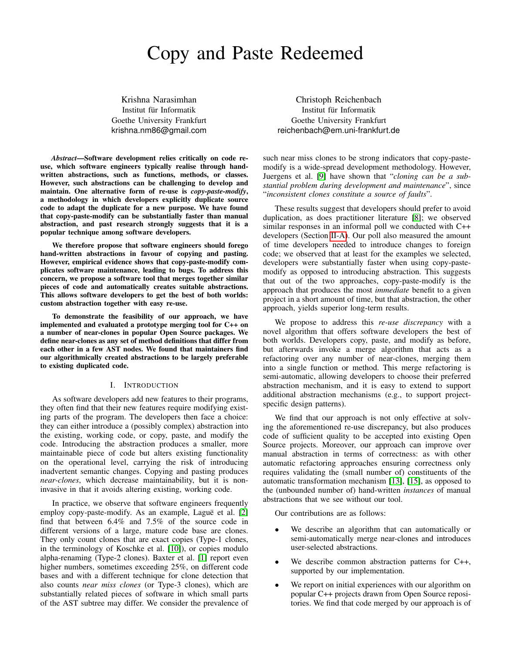# Copy and Paste Redeemed

Krishna Narasimhan Institut für Informatik Goethe University Frankfurt krishna.nm86@gmail.com

*Abstract*—Software development relies critically on code reuse, which software engineers typically realise through handwritten abstractions, such as functions, methods, or classes. However, such abstractions can be challenging to develop and maintain. One alternative form of re-use is *copy-paste-modify*, a methodology in which developers explicitly duplicate source code to adapt the duplicate for a new purpose. We have found that copy-paste-modify can be substantially faster than manual abstraction, and past research strongly suggests that it is a popular technique among software developers.

We therefore propose that software engineers should forego hand-written abstractions in favour of copying and pasting. However, empirical evidence shows that copy-paste-modify complicates software maintenance, leading to bugs. To address this concern, we propose a software tool that merges together similar pieces of code and automatically creates suitable abstractions. This allows software developers to get the best of both worlds: custom abstraction together with easy re-use.

To demonstrate the feasibility of our approach, we have implemented and evaluated a prototype merging tool for C++ on a number of near-clones in popular Open Source packages. We define near-clones as any set of method definitions that differ from each other in a few AST nodes. We found that maintainers find our algorithmically created abstractions to be largely preferable to existing duplicated code.

#### I. INTRODUCTION

As software developers add new features to their programs, they often find that their new features require modifying existing parts of the program. The developers then face a choice: they can either introduce a (possibly complex) abstraction into the existing, working code, or copy, paste, and modify the code. Introducing the abstraction produces a smaller, more maintainable piece of code but alters existing functionality on the operational level, carrying the risk of introducing inadvertent semantic changes. Copying and pasting produces *near-clones*, which decrease maintainability, but it is noninvasive in that it avoids altering existing, working code.

In practice, we observe that software engineers frequently employ copy-paste-modify. As an example, Laguë et al. [\[2\]](#page-10-0) find that between 6.4% and 7.5% of the source code in different versions of a large, mature code base are clones. They only count clones that are exact copies (Type-1 clones, in the terminology of Koschke et al. [\[10\]](#page-10-1)), or copies modulo alpha-renaming (Type-2 clones). Baxter et al. [\[1\]](#page-10-2) report even higher numbers, sometimes exceeding 25%, on different code bases and with a different technique for clone detection that also counts *near miss clones* (or Type-3 clones), which are substantially related pieces of software in which small parts of the AST subtree may differ. We consider the prevalence of

Christoph Reichenbach Institut für Informatik Goethe University Frankfurt reichenbach@em.uni-frankfurt.de

such near miss clones to be strong indicators that copy-pastemodify is a wide-spread development methodology. However, Juergens et al. [\[9\]](#page-10-3) have shown that "*cloning can be a substantial problem during development and maintenance*", since "*inconsistent clones constitute a source of faults*".

These results suggest that developers should prefer to avoid duplication, as does practitioner literature [\[8\]](#page-10-4); we observed similar responses in an informal poll we conducted with C++ developers (Section [II-A\)](#page-1-0). Our poll also measured the amount of time developers needed to introduce changes to foreign code; we observed that at least for the examples we selected, developers were substantially faster when using copy-pastemodify as opposed to introducing abstraction. This suggests that out of the two approaches, copy-paste-modify is the approach that produces the most *immediate* benefit to a given project in a short amount of time, but that abstraction, the other approach, yields superior long-term results.

We propose to address this *re-use discrepancy* with a novel algorithm that offers software developers the best of both worlds. Developers copy, paste, and modify as before, but afterwards invoke a merge algorithm that acts as a refactoring over any number of near-clones, merging them into a single function or method. This merge refactoring is semi-automatic, allowing developers to choose their preferred abstraction mechanism, and it is easy to extend to support additional abstraction mechanisms (e.g., to support projectspecific design patterns).

We find that our approach is not only effective at solving the aforementioned re-use discrepancy, but also produces code of sufficient quality to be accepted into existing Open Source projects. Moreover, our approach can improve over manual abstraction in terms of correctness: as with other automatic refactoring approaches ensuring correctness only requires validating the (small number of) constituents of the automatic transformation mechanism [\[13\]](#page-10-5), [\[15\]](#page-10-6), as opposed to the (unbounded number of) hand-written *instances* of manual abstractions that we see without our tool.

Our contributions are as follows:

- We describe an algorithm that can automatically or semi-automatically merge near-clones and introduces user-selected abstractions.
- We describe common abstraction patterns for  $C_{++}$ , supported by our implementation.
- We report on initial experiences with our algorithm on popular C++ projects drawn from Open Source repositories. We find that code merged by our approach is of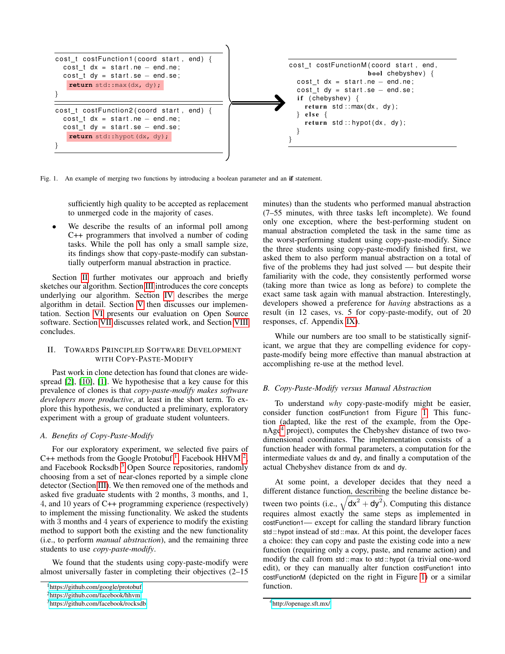

<span id="page-1-5"></span>Fig. 1. An example of merging two functions by introducing a boolean parameter and an if statement.

sufficiently high quality to be accepted as replacement to unmerged code in the majority of cases.

We describe the results of an informal poll among C++ programmers that involved a number of coding tasks. While the poll has only a small sample size, its findings show that copy-paste-modify can substantially outperform manual abstraction in practice.

Section [II](#page-1-1) further motivates our approach and briefly sketches our algorithm. Section [III](#page-2-0) introduces the core concepts underlying our algorithm. Section [IV](#page-2-1) describes the merge algorithm in detail. Section [V](#page-7-0) then discusses our implementation. Section [VI](#page-7-1) presents our evaluation on Open Source software. Section [VII](#page-9-0) discusses related work, and Section [VIII](#page-9-1) concludes.

## <span id="page-1-1"></span>II. TOWARDS PRINCIPLED SOFTWARE DEVELOPMENT WITH COPY-PASTE-MODIFY

Past work in clone detection has found that clones are widespread [\[2\]](#page-10-0), [\[10\]](#page-10-1), [\[1\]](#page-10-2). We hypothesise that a key cause for this prevalence of clones is that *copy-paste-modify makes software developers more productive*, at least in the short term. To explore this hypothesis, we conducted a preliminary, exploratory experiment with a group of graduate student volunteers.

## <span id="page-1-0"></span>*A. Benefits of Copy-Paste-Modify*

For our exploratory experiment, we selected five pairs of C++ methods from the Google Protobuf<sup>[1](#page-1-2)</sup>, Facebook HHVM<sup>[2](#page-1-3)</sup>, and Facebook Rocksdb<sup>[3](#page-1-4)</sup> Open Source repositories, randomly choosing from a set of near-clones reported by a simple clone detector (Section [III\)](#page-2-0). We then removed one of the methods and asked five graduate students with 2 months, 3 months, and 1, 4, and 10 years of C++ programming experience (respectively) to implement the missing functionality. We asked the students with 3 months and 4 years of experience to modify the existing method to support both the existing and the new functionality (i.e., to perform *manual abstraction*), and the remaining three students to use *copy-paste-modify*.

We found that the students using copy-paste-modify were almost universally faster in completing their objectives (2–15 minutes) than the students who performed manual abstraction (7–55 minutes, with three tasks left incomplete). We found only one exception, where the best-performing student on manual abstraction completed the task in the same time as the worst-performing student using copy-paste-modify. Since the three students using copy-paste-modify finished first, we asked them to also perform manual abstraction on a total of five of the problems they had just solved — but despite their familiarity with the code, they consistently performed worse (taking more than twice as long as before) to complete the exact same task again with manual abstraction. Interestingly, developers showed a preference for *having* abstractions as a result (in 12 cases, vs. 5 for copy-paste-modify, out of 20 responses, cf. Appendix [IX\)](#page-9-2).

While our numbers are too small to be statistically significant, we argue that they are compelling evidence for copypaste-modify being more effective than manual abstraction at accomplishing re-use at the method level.

## *B. Copy-Paste-Modify versus Manual Abstraction*

To understand *why* copy-paste-modify might be easier, consider function costFunction1 from Figure [1.](#page-1-5) This function (adapted, like the rest of the example, from the OpenAge[4](#page-1-6) project), computes the Chebyshev distance of two twodimensional coordinates. The implementation consists of a function header with formal parameters, a computation for the intermediate values dx and dy, and finally a computation of the actual Chebyshev distance from dx and dy.

At some point, a developer decides that they need a different distance function, describing the beeline distance between two points (i.e.,  $\sqrt{dx^2 + dy^2}$ ). Computing this distance requires almost exactly the same steps as implemented in costFunction1— except for calling the standard library function std :: hypot instead of std :: max. At this point, the developer faces a choice: they can copy and paste the existing code into a new function (requiring only a copy, paste, and rename action) and modify the call from std :: max to std :: hypot (a trivial one-word edit), or they can manually alter function costFunction1 into costFunctionM (depicted on the right in Figure [1\)](#page-1-5) or a similar function.

<span id="page-1-2"></span><sup>1</sup><https://github.com/google/protobuf>

<span id="page-1-3"></span><sup>2</sup><https://github.com/facebook/hhvm>

<span id="page-1-4"></span><sup>3</sup><https://github.com/facebook/rocksdb>

<span id="page-1-6"></span><sup>4</sup><http://openage.sft.mx/>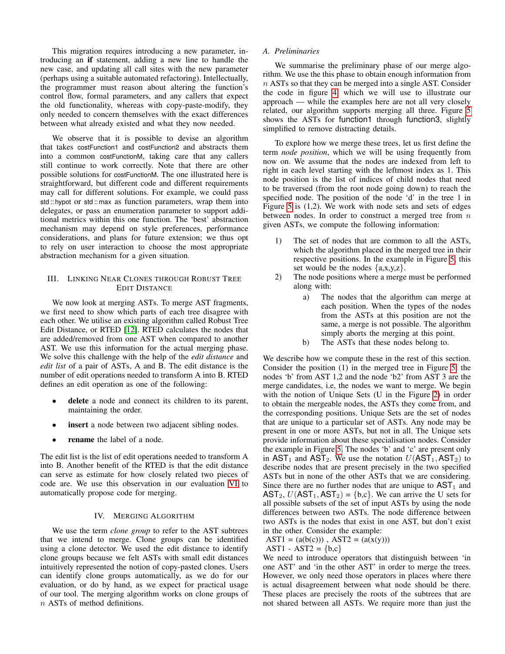This migration requires introducing a new parameter, introducing an if statement, adding a new line to handle the new case, and updating all call sites with the new parameter (perhaps using a suitable automated refactoring). Intellectually, the programmer must reason about altering the function's control flow, formal parameters, and any callers that expect the old functionality, whereas with copy-paste-modify, they only needed to concern themselves with the exact differences between what already existed and what they now needed.

We observe that it is possible to devise an algorithm that takes costFunction1 and costFunction2 and abstracts them into a common costFunctionM, taking care that any callers still continue to work correctly. Note that there are other possible solutions for costFunctionM. The one illustrated here is straightforward, but different code and different requirements may call for different solutions. For example, we could pass std :: hypot or std :: max as function parameters, wrap them into delegates, or pass an enumeration parameter to support additional metrics within this one function. The 'best' abstraction mechanism may depend on style preferences, performance considerations, and plans for future extension; we thus opt to rely on user interaction to choose the most appropriate abstraction mechanism for a given situation.

## <span id="page-2-0"></span>III. LINKING NEAR CLONES THROUGH ROBUST TREE EDIT DISTANCE

We now look at merging ASTs. To merge AST fragments, we first need to show which parts of each tree disagree with each other. We utilise an existing algorithm called Robust Tree Edit Distance, or RTED [\[12\]](#page-10-7). RTED calculates the nodes that are added/removed from one AST when compared to another AST. We use this information for the actual merging phase. We solve this challenge with the help of the *edit distance* and *edit list* of a pair of ASTs, A and B. The edit distance is the number of edit operations needed to transform A into B. RTED defines an edit operation as one of the following:

- delete a node and connect its children to its parent, maintaining the order.
- **insert** a node between two adjacent sibling nodes.
- rename the label of a node.

The edit list is the list of edit operations needed to transform A into B. Another benefit of the RTED is that the edit distance can serve as estimate for how closely related two pieces of code are. We use this observation in our evaluation [VI](#page-7-1) to automatically propose code for merging.

## IV. MERGING ALGORITHM

<span id="page-2-1"></span>We use the term *clone group* to refer to the AST subtrees that we intend to merge. Clone groups can be identified using a clone detector. We used the edit distance to identify clone groups because we felt ASTs with small edit distances intuitively represented the notion of copy-pasted clones. Users can identify clone groups automatically, as we do for our evaluation, or do by hand, as we expect for practical usage of our tool. The merging algorithm works on clone groups of n ASTs of method definitions.

#### *A. Preliminaries*

We summarise the preliminary phase of our merge algorithm. We use the this phase to obtain enough information from  $n$  ASTs so that they can be merged into a single AST. Consider the code in figure [4,](#page-3-0) which we will use to illustrate our approach — while the examples here are not all very closely related, our algorithm supports merging all three. Figure [5](#page-3-1) shows the ASTs for function1 through function3, slightly simplified to remove distracting details.

To explore how we merge these trees, let us first define the term *node position*, which we will be using frequently from now on. We assume that the nodes are indexed from left to right in each level starting with the leftmost index as 1. This node position is the list of indices of child nodes that need to be traversed (from the root node going down) to reach the specified node. The position of the node 'd' in the tree 1 in Figure [5](#page-3-1) is (1,2). We work with node sets and sets of edges between nodes. In order to construct a merged tree from  $n$ given ASTs, we compute the following information:

- 1) The set of nodes that are common to all the ASTs, which the algorithm placed in the merged tree in their respective positions. In the example in Figure [5,](#page-3-1) this set would be the nodes  $\{a, x, y, z\}$ .
- 2) The node positions where a merge must be performed along with:
	- a) The nodes that the algorithm can merge at each position. When the types of the nodes from the ASTs at this position are not the same, a merge is not possible. The algorithm simply aborts the merging at this point.
	- b) The ASTs that these nodes belong to.

We describe how we compute these in the rest of this section. Consider the position (1) in the merged tree in Figure [5:](#page-3-1) the nodes 'b' from AST 1,2 and the node 'b2' from AST 3 are the merge candidates, i.e, the nodes we want to merge. We begin with the notion of Unique Sets (U in the Figure [2\)](#page-3-2) in order to obtain the mergeable nodes, the ASTs they come from, and the corresponding positions. Unique Sets are the set of nodes that are unique to a particular set of ASTs. Any node may be present in one or more ASTs, but not in all. The Unique sets provide information about these specialisation nodes. Consider the example in Figure [5.](#page-3-1) The nodes 'b' and 'c' are present only in  $AST_1$  and  $AST_2$ . We use the notation  $U(AST_1, AST_2)$  to describe nodes that are present precisely in the two specified ASTs but in none of the other ASTs that we are considering. Since there are no further nodes that are unique to  $AST_1$  and  $AST_2, U(AST_1, AST_2) = \{b,c\}$ . We can arrive the U sets for all possible subsets of the set of input ASTs by using the node differences between two ASTs. The node difference between two ASTs is the nodes that exist in one AST, but don't exist in the other. Consider the example:

AST1 = 
$$
(a(b(c)))
$$
, AST2 =  $(a(x(y)))$ 

AST1 - AST2 =  ${b,c}$ 

We need to introduce operators that distinguish between 'in one AST' and 'in the other AST' in order to merge the trees. However, we only need those operators in places where there is actual disagreement between what node should be there. These places are precisely the roots of the subtrees that are not shared between all ASTs. We require more than just the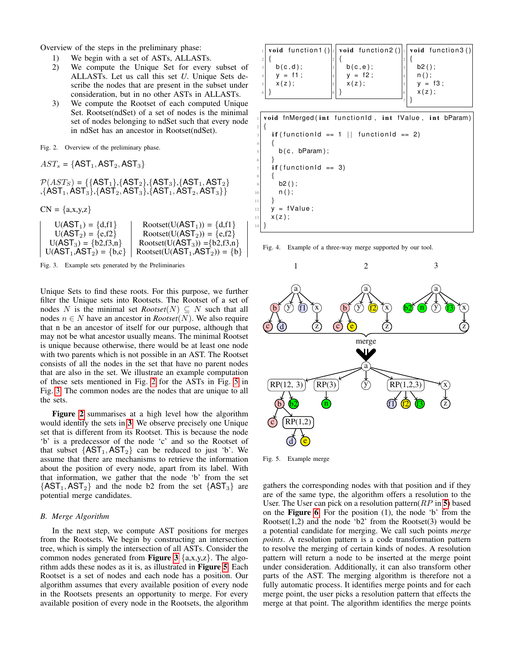Overview of the steps in the preliminary phase:

- 1) We begin with a set of ASTs, ALLASTs.
- 2) We compute the Unique Set for every subset of ALLASTs. Let us call this set *U*. Unique Sets describe the nodes that are present in the subset under consideration, but in no other ASTs in ALLASTs.
- 3) We compute the Rootset of each computed Unique Set. Rootset(ndSet) of a set of nodes is the minimal set of nodes belonging to ndSet such that every node in ndSet has an ancestor in Rootset(ndSet).

<span id="page-3-2"></span>Fig. 2. Overview of the preliminary phase.

```
AST<sub>s</sub> = \{AST<sub>1</sub>, AST<sub>2</sub>, AST<sub>3</sub>\}
```

```
P(AST_S) = {\{AST_1\}, {AST_2\}, {AST_3\}, {AST_1, AST_2\}},\overline{\mathrm{\{AST_1,AST_3\}},\mathrm{\{AST_2,AST_3\}},\mathrm{\{AST_3\}},\mathrm{\overline{AST_1,AST_2,AST_3\}}\}}
```
 $CN = {a,x,y,z}$ 

```
U(AST_1) = {d, f1}<br>
U(AST_2) = {e, f2}<br>
Rootset(U(AST<sub>2</sub>)) = {e,f2}
 U(AST_2) = \{e,f2\}<br>
U(AST_3) = \{b2,f3,n\}<br>
Rootset(U(AST<sub>3</sub>)) = {b2,f3,n
                                     Rootset(U(AST<sub>3</sub>)) = {b2,f3,n}U(AST_1, AST_2) = \{b,c\} Rootset(U(AST_1, AST_2) = \{b\}
```
<span id="page-3-3"></span>Fig. 3. Example sets generated by the Preliminaries

Unique Sets to find these roots. For this purpose, we further filter the Unique sets into Rootsets. The Rootset of a set of nodes N is the minimal set  $Rootset(N) \subseteq N$  such that all nodes  $n \in N$  have an ancestor in *Rootset*(N). We also require that n be an ancestor of itself for our purpose, although that may not be what ancestor usually means. The minimal Rootset is unique because otherwise, there would be at least one node with two parents which is not possible in an AST. The Rootset consists of all the nodes in the set that have no parent nodes that are also in the set. We illustrate an example computation of these sets mentioned in Fig. [2](#page-3-2) for the ASTs in Fig. [5](#page-3-1) in Fig. [3.](#page-3-3) The common nodes are the nodes that are unique to all the sets.

Figure [2](#page-3-2) summarises at a high level how the algorithm would identify the sets in [3](#page-3-3). We observe precisely one Unique set that is different from its Rootset. This is because the node 'b' is a predecessor of the node 'c' and so the Rootset of that subset  $\{AST_1, AST_2\}$  can be reduced to just 'b'. We assume that there are mechanisms to retrieve the information about the position of every node, apart from its label. With that information, we gather that the node 'b' from the set  ${AST_1, AST_2}$  and the node b2 from the set  ${AST_3}$  are potential merge candidates.

## *B. Merge Algorithm*

In the next step, we compute AST positions for merges from the Rootsets. We begin by constructing an intersection tree, which is simply the intersection of all ASTs. Consider the common nodes generated from **Figure [3](#page-3-3)**  $\{a,x,y,z\}$ . The algorithm adds these nodes as it is, as illustrated in Figure [5](#page-3-1). Each Rootset is a set of nodes and each node has a position. Our algorithm assumes that every available position of every node in the Rootsets presents an opportunity to merge. For every available position of every node in the Rootsets, the algorithm

|            |             | void function1()   void function2()   void function3() |
|------------|-------------|--------------------------------------------------------|
|            |             |                                                        |
| b(c,d);    | $b(c, e)$ ; | $b2()$ ;                                               |
| $y = f1$ ; | $y = f2$ ;  | $n()$ ;                                                |
| $x(z)$ ;   | $x(z)$ ;    | $y = f3;$                                              |
|            |             | $x(z)$ ;                                               |
|            |             |                                                        |

void fnMerged (int functionId, int fValue, int bParam)  $2 \mid \{$ 

```
if (functional == 1 || functional == 2)4 {
      b ( c, bParam ):
6 }
    if (functionId == 3)8 {
      b2();
      n();
12 y = fValue;
13 \mid X(z);
14 }
```
<span id="page-3-0"></span>



<span id="page-3-1"></span>Fig. 5. Example merge

 $11$ 

gathers the corresponding nodes with that position and if they are of the same type, the algorithm offers a resolution to the User. The User can pick on a resolution pattern( $RP$  in [5](#page-3-1)) based on the Figure [6](#page-4-0). For the position (1), the node 'b' from the Rootset $(1,2)$  and the node 'b2' from the Rootset $(3)$  would be a potential candidate for merging. We call such points *merge points*. A resolution pattern is a code transformation pattern to resolve the merging of certain kinds of nodes. A resolution pattern will return a node to be inserted at the merge point under consideration. Additionally, it can also transform other parts of the AST. The merging algorithm is therefore not a fully automatic process. It identifies merge points and for each merge point, the user picks a resolution pattern that effects the merge at that point. The algorithm identifies the merge points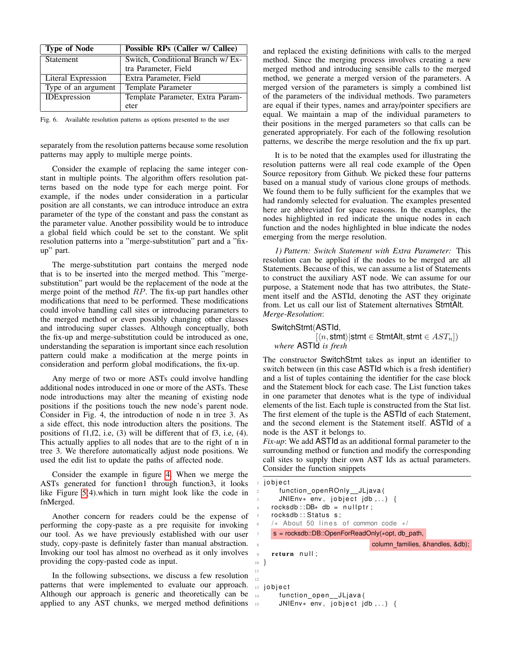| <b>Type of Node</b> | Possible RPs (Caller w/ Callee)   |  |  |  |
|---------------------|-----------------------------------|--|--|--|
| Statement           | Switch, Conditional Branch w/ Ex- |  |  |  |
|                     | tra Parameter, Field              |  |  |  |
| Literal Expression  | Extra Parameter, Field            |  |  |  |
| Type of an argument | Template Parameter                |  |  |  |
| <b>IDExpression</b> | Template Parameter, Extra Param-  |  |  |  |
|                     | eter                              |  |  |  |

<span id="page-4-0"></span>Fig. 6. Available resolution patterns as options presented to the user

separately from the resolution patterns because some resolution patterns may apply to multiple merge points.

Consider the example of replacing the same integer constant in multiple points. The algorithm offers resolution patterns based on the node type for each merge point. For example, if the nodes under consideration in a particular position are all constants, we can introduce introduce an extra parameter of the type of the constant and pass the constant as the parameter value. Another possibility would be to introduce a global field which could be set to the constant. We split resolution patterns into a "merge-substitution" part and a "fixup" part.

The merge-substitution part contains the merged node that is to be inserted into the merged method. This "mergesubstitution" part would be the replacement of the node at the merge point of the method  $RP$ . The fix-up part handles other modifications that need to be performed. These modifications could involve handling call sites or introducing parameters to the merged method or even possibly changing other classes and introducing super classes. Although conceptually, both the fix-up and merge-substitution could be introduced as one, understanding the separation is important since each resolution pattern could make a modification at the merge points in consideration and perform global modifications, the fix-up.

Any merge of two or more ASTs could involve handling additional nodes introduced in one or more of the ASTs. These node introductions may alter the meaning of existing node positions if the positions touch the new node's parent node. Consider in Fig. 4, the introduction of node n in tree 3. As a side effect, this node introduction alters the positions. The positions of f1,f2, i.e, (3) will be different that of f3, i.e, (4). This actually applies to all nodes that are to the right of n in tree 3. We therefore automatically adjust node positions. We used the edit list to update the paths of affected node.

Consider the example in figure [4.](#page-3-0) When we merge the ASTs generated for function1 through function3, it looks like Figure [5\(](#page-3-1)4).which in turn might look like the code in fnMerged.

Another concern for readers could be the expense of performing the copy-paste as a pre requisite for invoking our tool. As we have previously established with our user study, copy-paste is definitely faster than manual abstraction. Invoking our tool has almost no overhead as it only involves providing the copy-pasted code as input.

In the following subsections, we discuss a few resolution patterns that were implemented to evaluate our approach. Although our approach is generic and theoretically can be applied to any AST chunks, we merged method definitions 15

11 12 and replaced the existing definitions with calls to the merged method. Since the merging process involves creating a new merged method and introducing sensible calls to the merged method, we generate a merged version of the parameters. A merged version of the parameters is simply a combined list of the parameters of the individual methods. Two parameters are equal if their types, names and array/pointer specifiers are equal. We maintain a map of the individual parameters to their positions in the merged parameters so that calls can be generated appropriately. For each of the following resolution patterns, we describe the merge resolution and the fix up part.

It is to be noted that the examples used for illustrating the resolution patterns were all real code example of the Open Source repository from Github. We picked these four patterns based on a manual study of various clone groups of methods. We found them to be fully sufficient for the examples that we had randomly selected for evaluation. The examples presented here are abbreviated for space reasons. In the examples, the nodes highlighted in red indicate the unique nodes in each function and the nodes highlighted in blue indicate the nodes emerging from the merge resolution.

*1) Pattern: Switch Statement with Extra Parameter:* This resolution can be applied if the nodes to be merged are all Statements. Because of this, we can assume a list of Statements to construct the auxiliary AST node. We can assume for our purpose, a Statement node that has two attributes, the Statement itself and the ASTId, denoting the AST they originate from. Let us call our list of Statement alternatives StmtAlt. *Merge-Resolution*:

```
SwitchStmt(ASTId,
                    [\langle n, \mathsf{stmt}\rangle|\mathsf{stmt} \in \mathsf{StmtAlt}, \mathsf{stmt} \in AST_n])where ASTId is fresh
```
The constructor SwitchStmt takes as input an identifier to switch between (in this case ASTId which is a fresh identifier) and a list of tuples containing the identifier for the case block and the Statement block for each case. The List function takes in one parameter that denotes what is the type of individual elements of the list. Each tuple is constructed from the Stat list. The first element of the tuple is the ASTId of each Statement, and the second element is the Statement itself. ASTId of a node is the AST it belongs to.

*Fix-up*: We add **ASTID** as an additional formal parameter to the surrounding method or function and modify the corresponding call sites to supply their own AST Ids as actual parameters. Consider the function snippets

```
jobject
       function_openROnly__JLjava(
       JNIEnv* env, jobject jdb,..) {
     rocksdb::DB* db = nullptr;rocksdb:: Status s;
     /* About 50 lines of common code */
     7 s = rocksdb::DB::OpenForReadOnly(∗opt, db path,
                                column_families, &handles, &db);
 9 return null;
10 }
13 jobject
14 function_open__JLjava(
       JNIEnv* env, jobject jdb,..) {
```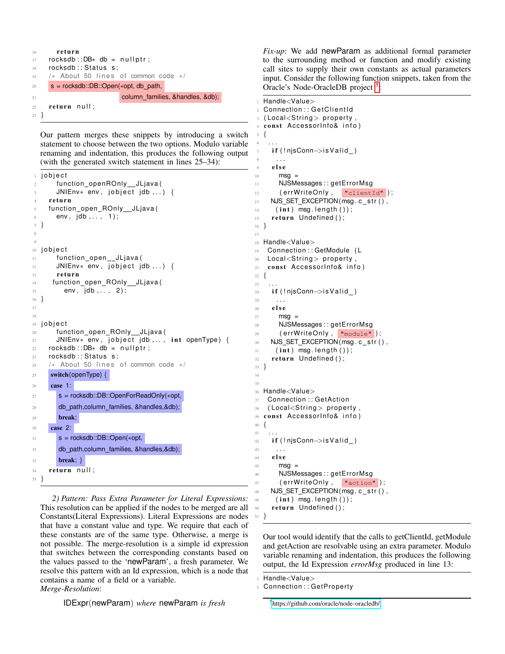```
16 return
17 rocksdb::DB* db = nullptr;
18 rocksdb:: Status s;
19 /* About 50 lines of common code */
20 s = rocksdb::DB::Open(∗opt, db path,
21 column families, &handles, &db);
22 return null;
23 }
```
Our pattern merges these snippets by introducing a switch statement to choose between the two options. Modulo variable renaming and indentation, this produces the following output (with the generated switch statement in lines 25–34):

```
j o b j e ct
2 function_openROnly__JLjava(
      JNIEnv* env, jobject jdb,..) {
    r e turn
    function_open_ROnly__JLjava (
6 env, jdb, .., 1);
7 }
8
9
10 jobject
11 function_open__JLjava(
12 JNIEnv* env, jobject jdb,..) {
13 return
14 function_open_ROnly__JLjava(
15 env, jdb,.., 2);
16 }
17
18
19 jobject
20 function_open_ROnly__JLjava(
21 JNIEnv* env, jobject jdb,.., int openType) {
22 rocksdb::DB* db = nullptr;
23 rocksdb:: Status s;
24 /* About 50 lines of common code */
25 switch(openType) {
26 case 1:
27 s = rocksdb::DB::OpenForReadOnly(∗opt,
28 db path,column families, &handles,&db);
       break;
30 case 2:
31 \quad S = rocksdb::DB::Open(*opt,
32 db path,column families, &handles,&db);
33 break; }
34 return null;
35 }
```
*2) Pattern: Pass Extra Parameter for Literal Expressions:* This resolution can be applied if the nodes to be merged are all Constants(Literal Expressions). Literal Expressions are nodes that have a constant value and type. We require that each of these constants are of the same type. Otherwise, a merge is not possible. The merge-resolution is a simple id expression that switches between the corresponding constants based on the values passed to the 'newParam', a fresh parameter. We resolve this pattern with an Id expression, which is a node that contains a name of a field or a variable. *Merge-Resolution*:

IDExpr(newParam) *where* newParam *is fresh*

*Fix-up*: We add newParam as additional formal parameter to the surrounding method or function and modify existing call sites to supply their own constants as actual parameters input. Consider the following function snippets, taken from the Oracle's Node-OracleDB project <sup>[5](#page-5-0)</sup>:

Handle<Value> 2 Connection :: GetClientId (Local<String> property, const AccessorInfo& info) <sup>5</sup> {  $6 \cdot \cdot \cdot$ if (!njsConn->is Valid\_) <sup>8</sup> . . .  $9$  else <sup>10</sup> msg = 11 NJSMessages :: getErrorMsg 12 ( err WriteOnly, "clientId" );  $13$  NJS\_SET\_EXCEPTION ( $\overline{msg.c\_str()}$ ,  $14$  (int) msg. length ()); 15 return Undefined (); <sup>16</sup> } 18 Handle<Value> 19 Connection :: GetModule (L 20 Local<String> property, 21 const AccessorInfo& info) <sup>22</sup> { <sup>23</sup> . . . 24 if (!njsConn->is Valid\_) <sup>25</sup> . . .  $26$  else  $27$  msg = 28 NJSMessages : : getErrorMsg  $29$  (errWriteOnly, "module");  $30$  NJS SET EXCEPTION (msg. c\_str(),  $31$  (int) msg. length ()); 32 return Undefined ( ); <sup>33</sup> } <sup>36</sup> Handle<Value> 37 Connection :: GetAction  $38$  (Local<String> property 39 const AccessorInfo& info) <sup>40</sup> {  $41$ 42 if (!njsConn->is Valid\_)  $43$  . 44 **else**  $45$  msa = 46 NJSMessages :: getErrorMsg 47 (errWriteOnly, "action"); 48 NJS\_SET\_EXCEPTION (msg. c\_str(),  $49$  (int) msg. length ()); 50 return Undefined (); <sup>51</sup> }

Our tool would identify that the calls to getClientId, getModule and getAction are resolvable using an extra parameter. Modulo variable renaming and indentation, this produces the following output, the Id Expression *errorMsg* produced in line 13:

17

34 35

2 Connection :: GetProperty

Handle<Value>

<span id="page-5-0"></span><sup>5</sup><https://github.com/oracle/node-oracledb/>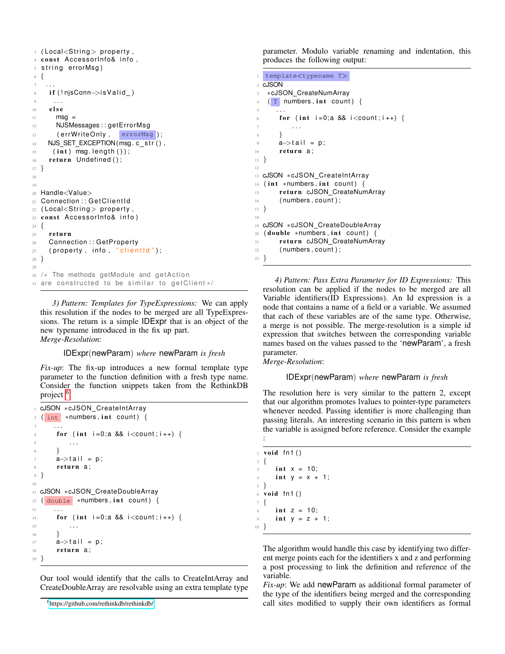```
3 (Local<String> property,
4 const AccessorInfo& info,
5 string errorMsg)
6 {
 7 . . .
8 if (!njsConn->is Valid_)
9 \qquad \qquad . . .10 else
11 msg =
12 NJSMessages : : getErrorMsg
13 (errWriteOnly, errorMsg);
14 NJS_SET_EXCEPTION(msg. c_str(),
15 (int) msg. length());
16 return Undefined ();
17 }
18
19
20 Handle<Value>
21 Connection :: GetClientId
22 (Local<String> property,
23 const AccessorInfo& info)
24 \frac{1}{2}25 return
26 Connection :: GetProperty
27 (property, info, "clientid");
28 }
2930 /* The methods getModule and getAction
31 are constructed to be similar to get Client */
```
*3) Pattern: Templates for TypeExpressions:* We can apply this resolution if the nodes to be merged are all TypeExpressions. The return is a simple IDExpr that is an object of the new typename introduced in the fix up part. *Merge-Resolution*:

## IDExpr(newParam) *where* newParam *is fresh*

*Fix-up*: The fix-up introduces a new formal template type parameter to the function definition with a fresh type name. Consider the function snippets taken from the RethinkDB project <sup>[6](#page-6-0)</sup>

```
cJSON *cJSON_CreateIntArray
2 ( int *numbers, int count) {
3 \cdot \cdot \cdotfor (int i = 0; a 88 i <count; i + 1) {
          5 . . .
       6 }
      a \rightarrow \text{tail} = p;
8 return a:
9 }
10
11 cJSON ∗cJSON CreateDoubleArray
12 ( double ∗numbers, int count) {
13
14 for (int i=0;a && i<count; i++) {
15 . . .
16 }
17 a–>tail = p;
18 return a;
19 }
```
Our tool would identify that the calls to CreateIntArray and CreateDoubleArray are resolvable using an extra template type parameter. Modulo variable renaming and indentation, this produces the following output:

```
1 template<typename T>
2 cJSON
   3 ∗cJSON CreateNumArray
   (T numbers, int count) {
5 \qquad \ldotsfor (int i = 0; a && i <count; i +) {
7 \quad . \quad . \quad .8 }
9 \qquad a \rightarrow \text{tail} = p;
10 return a:
11 }
12
13 cJSON ∗cJSON_CreateIntArray
14 (int *numbers, int count) {
15 return cJSON_CreateNumArray
16 (numbers, count);
17 }
18
19 cJSON ∗cJSON CreateDoubleArray
20 (double *numbers, int count) {
21 return cJSON_CreateNumArray
22 ( numbers , count ) ;
23 }
```
*4) Pattern: Pass Extra Parameter for ID Expressions:* This resolution can be applied if the nodes to be merged are all Variable identifiers(ID Expressions). An Id expression is a node that contains a name of a field or a variable. We assumed that each of these variables are of the same type. Otherwise, a merge is not possible. The merge-resolution is a simple id expression that switches between the corresponding variable names based on the values passed to the 'newParam', a fresh parameter.

*Merge-Resolution*:

```
IDExpr(newParam) where newParam is fresh
```
The resolution here is very similar to the pattern 2, except that our algorithm promotes lvalues to pointer-type parameters whenever needed. Passing identifier is more challenging than passing literals. An interesting scenario in this pattern is when the variable is assigned before reference. Consider the example :

|                     | $\pm$ void fn1()           |
|---------------------|----------------------------|
| $2 \left\{ \right.$ |                            |
|                     | 3 <b>int</b> $x = 10$ ;    |
|                     | 4 int $y = x + 1$ ;        |
| $5 \}$              |                            |
|                     | $6$ void fn1()             |
| $7 \frac{1}{2}$     |                            |
|                     | $\sin t$ z = 10;           |
|                     | 9 <b>int</b> $y = z + 1$ ; |
| $10$ }              |                            |
|                     |                            |

The algorithm would handle this case by identifying two different merge points each for the identifiers x and z and performing a post processing to link the definition and reference of the variable.

*Fix-up*: We add newParam as additional formal parameter of the type of the identifiers being merged and the corresponding call sites modified to supply their own identifiers as formal

<span id="page-6-0"></span><sup>6</sup><https://github.com/rethinkdb/rethinkdb/>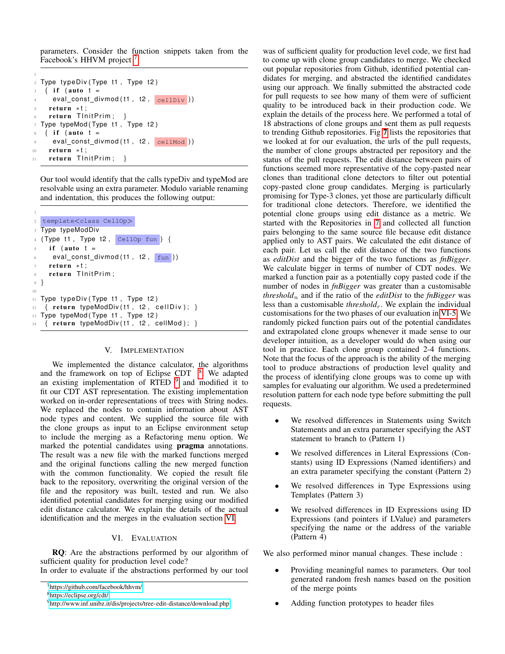parameters. Consider the function snippets taken from the Facebook's HHVM project<sup>[7](#page-7-2)</sup>

```
1
2 Type typeDiv (Type t1, Type t2)
   \{ if (auto t =
     eval\_const\_divmod(t1, t2, cellDiv)return *t;
    return TlnitPrim; }
 Type typeMod (Type t1, Type t2)
   \{ if (auto t =eval\_const\_divmod(t1, t2, cellMod))10 return *t;
11 return TlnitPrim; }
```
Our tool would identify that the calls typeDiv and typeMod are resolvable using an extra parameter. Modulo variable renaming and indentation, this produces the following output:

```
1
2 template<class CellOp>
3 Type typeModDiv
4 ( Type t1 , Type t2 , CellOp fun ) {
5 if (auto t =eval_const_divmod(t1, t2, \boxed{\text{fun}})return *t;
8 return TlnitPrim;
9 }
10
11 Type typeDiv (Type t1, Type t2)
12 \{ return typeModDiv(t1, t2, cellDiv); \}13 Type typeMod (Type t1, Type t2)
   \{ return typeModDiv(t1, t2, cellMod); \}
```
## V. IMPLEMENTATION

<span id="page-7-0"></span>We implemented the distance calculator, the algorithms and the framework on top of Eclipse CDT  $8$ . We adapted an existing implementation of RTED <sup>[9](#page-7-4)</sup> and modified it to fit our CDT AST representation. The existing implementation worked on in-order representations of trees with String nodes. We replaced the nodes to contain information about AST node types and content. We supplied the source file with the clone groups as input to an Eclipse environment setup to include the merging as a Refactoring menu option. We marked the potential candidates using pragma annotations. The result was a new file with the marked functions merged and the original functions calling the new merged function with the common functionality. We copied the result file back to the repository, overwriting the original version of the file and the repository was built, tested and run. We also identified potential candidates for merging using our modified edit distance calculator. We explain the details of the actual identification and the merges in the evaluation section [VI.](#page-7-1)

#### VI. EVALUATION

<span id="page-7-1"></span>RQ: Are the abstractions performed by our algorithm of sufficient quality for production level code?

In order to evaluate if the abstractions performed by our tool

was of sufficient quality for production level code, we first had to come up with clone group candidates to merge. We checked out popular repositories from Github, identified potential candidates for merging, and abstracted the identified candidates using our approach. We finally submitted the abstracted code for pull requests to see how many of them were of sufficient quality to be introduced back in their production code. We explain the details of the process here. We performed a total of 18 abstractions of clone groups and sent them as pull requests to trending Github repositories. Fig [7](#page-8-0) lists the repositories that we looked at for our evaluation, the urls of the pull requests, the number of clone groups abstracted per repository and the status of the pull requests. The edit distance between pairs of functions seemed more representative of the copy-pasted near clones than traditional clone detectors to filter out potential copy-pasted clone group candidates. Merging is particularly promising for Type-3 clones, yet those are particularly difficult for traditional clone detectors. Therefore, we identified the potential clone groups using edit distance as a metric. We started with the Repositories in [7](#page-8-0) and collected all function pairs belonging to the same source file because edit distance applied only to AST pairs. We calculated the edit distance of each pair. Let us call the edit distance of the two functions as *editDist* and the bigger of the two functions as *fnBigger*. We calculate bigger in terms of number of CDT nodes. We marked a function pair as a potentially copy pasted code if the number of nodes in *fnBigger* was greater than a customisable *threshold*<sup>n</sup> and if the ratio of the *editDist* to the *fnBigger* was less than a customisable *threshold<sub>r</sub>*. We explain the individual customisations for the two phases of our evaluation in [VI-5.](#page-8-1) We randomly picked function pairs out of the potential candidates and extrapolated clone groups whenever it made sense to our developer intuition, as a developer would do when using our tool in practice. Each clone group contained 2-4 functions. Note that the focus of the approach is the ability of the merging tool to produce abstractions of production level quality and the process of identifying clone groups was to come up with samples for evaluating our algorithm. We used a predetermined resolution pattern for each node type before submitting the pull requests.

- We resolved differences in Statements using Switch Statements and an extra parameter specifying the AST statement to branch to (Pattern 1)
- We resolved differences in Literal Expressions (Constants) using ID Expressions (Named identifiers) and an extra parameter specifying the constant (Pattern 2)
- We resolved differences in Type Expressions using Templates (Pattern 3)
- We resolved differences in ID Expressions using ID Expressions (and pointers if LValue) and parameters specifying the name or the address of the variable (Pattern 4)

We also performed minor manual changes. These include :

- Providing meaningful names to parameters. Our tool generated random fresh names based on the position of the merge points
- Adding function prototypes to header files

<span id="page-7-2"></span><sup>7</sup><https://github.com/facebook/hhvm/>

<span id="page-7-3"></span><sup>8</sup><https://eclipse.org/cdt/>

<span id="page-7-4"></span><sup>9</sup><http://www.inf.unibz.it/dis/projects/tree-edit-distance/download.php>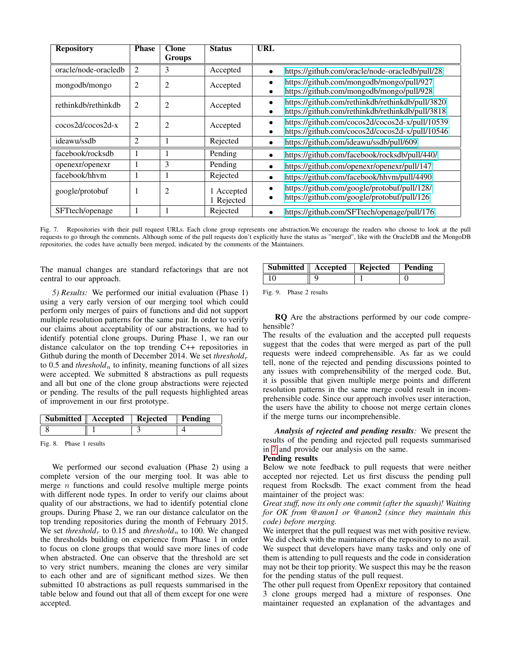| <b>Repository</b>    | <b>Phase</b>   | <b>Clone</b>   | <b>Status</b>          | URL                                                                                                               |
|----------------------|----------------|----------------|------------------------|-------------------------------------------------------------------------------------------------------------------|
|                      |                | <b>Groups</b>  |                        |                                                                                                                   |
| oracle/node-oracledb | $\overline{2}$ | 3              | Accepted               | https://github.com/oracle/node-oracledb/pull/28<br>$\bullet$                                                      |
| mongodb/mongo        | 2              | $\overline{2}$ | Accepted               | https://github.com/mongodb/mongo/pull/927<br>$\bullet$<br>https://github.com/mongodb/mongo/pull/928               |
| rethinkdb/rethinkdb  | 2              | 2              | Accepted               | https://github.com/rethinkdb/rethinkdb/pull/3820<br>$\bullet$<br>https://github.com/rethinkdb/rethinkdb/pull/3818 |
| $\cos 2d/\cos 2d-x$  | 2              | 2              | Accepted               | https://github.com/cocos2d/cocos2d-x/pull/10539<br>https://github.com/cocos2d/cocos2d-x/pull/10546<br>$\bullet$   |
| ideawu/ssdb          | $\overline{2}$ | 1              | Rejected               | https://github.com/ideawu/ssdb/pull/609                                                                           |
| facebook/rocksdb     |                |                | Pending                | https://github.com/facebook/rocksdb/pull/440/<br>$\bullet$                                                        |
| openexr/openexr      |                | 3              | Pending                | https://github.com/openexr/openexr/pull/147<br>٠                                                                  |
| facebook/hhym        |                |                | Rejected               | https://github.com/facebook/hhvm/pull/4490<br>$\bullet$                                                           |
| google/protobuf      |                | $\overline{2}$ | Accepted<br>1 Rejected | https://github.com/google/protobuf/pull/128/<br>٠<br>https://github.com/google/protobuf/pull/126                  |
| SFTtech/openage      |                |                | Rejected               | https://github.com/SFTtech/openage/pull/176                                                                       |

<span id="page-8-0"></span>Fig. 7. Repositories with their pull request URLs. Each clone group represents one abstraction.We encourage the readers who choose to look at the pull requests to go through the comments. Although some of the pull requests don't explicitly have the status as "merged", like with the OracleDB and the MongoDB repositories, the codes have actually been merged, indicated by the comments of the Maintainers.

The manual changes are standard refactorings that are not central to our approach.

<span id="page-8-1"></span>*5) Results:* We performed our initial evaluation (Phase 1) using a very early version of our merging tool which could perform only merges of pairs of functions and did not support multiple resolution patterns for the same pair. In order to verify our claims about acceptability of our abstractions, we had to identify potential clone groups. During Phase 1, we ran our distance calculator on the top trending C++ repositories in Github during the month of December 2014. We set *threshold*<sub>r</sub> to 0.5 and *threshold*<sub>n</sub> to infinity, meaning functions of all sizes were accepted. We submitted 8 abstractions as pull requests and all but one of the clone group abstractions were rejected or pending. The results of the pull requests highlighted areas of improvement in our first prototype.

| <b>Submitted</b>   Accepted   Rejected |  | Pending |
|----------------------------------------|--|---------|
|                                        |  |         |

Fig. 8. Phase 1 results

We performed our second evaluation (Phase 2) using a complete version of the our merging tool. It was able to merge  $n$  functions and could resolve multiple merge points with different node types. In order to verify our claims about quality of our abstractions, we had to identify potential clone groups. During Phase 2, we ran our distance calculator on the top trending repositories during the month of February 2015. We set *threshold<sub>r</sub>* to 0.15 and *threshold<sub>n</sub>* to 100. We changed the thresholds building on experience from Phase 1 in order to focus on clone groups that would save more lines of code when abstracted. One can observe that the threshold are set to very strict numbers, meaning the clones are very similar to each other and are of significant method sizes. We then submitted 10 abstractions as pull requests summarised in the table below and found out that all of them except for one were accepted.

| Submitted   Accepted   Rejected | Pending |
|---------------------------------|---------|
|                                 |         |

| Fig. 9. |  | Phase 2 results |
|---------|--|-----------------|
|---------|--|-----------------|

RQ Are the abstractions performed by our code comprehensible?

The results of the evaluation and the accepted pull requests suggest that the codes that were merged as part of the pull requests were indeed comprehensible. As far as we could tell, none of the rejected and pending discussions pointed to any issues with comprehensibility of the merged code. But, it is possible that given multiple merge points and different resolution patterns in the same merge could result in incomprehensible code. Since our approach involves user interaction, the users have the ability to choose not merge certain clones if the merge turns our incomprehensible.

*Analysis of rejected and pending results:* We present the results of the pending and rejected pull requests summarised in [7](#page-8-0) and provide our analysis on the same.

# Pending results

Below we note feedback to pull requests that were neither accepted nor rejected. Let us first discuss the pending pull request from Rocksdb. The exact comment from the head maintainer of the project was:

*Great stuff, now its only one commit (after the squash)! Waiting for OK from @anon1 or @anon2 (since they maintain this code) before merging.*

We interpret that the pull request was met with positive review. We did check with the maintainers of the repository to no avail. We suspect that developers have many tasks and only one of them is attending to pull requests and the code in consideration may not be their top priority. We suspect this may be the reason for the pending status of the pull request.

The other pull request from OpenExr repository that contained 3 clone groups merged had a mixture of responses. One maintainer requested an explanation of the advantages and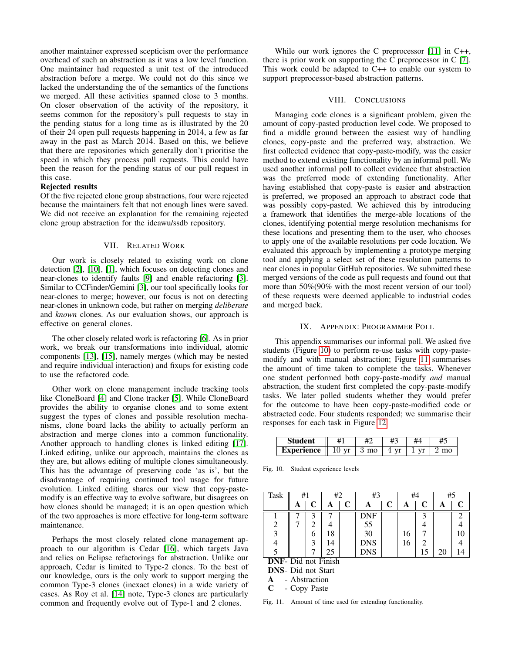another maintainer expressed scepticism over the performance overhead of such an abstraction as it was a low level function. One maintainer had requested a unit test of the introduced abstraction before a merge. We could not do this since we lacked the understanding the of the semantics of the functions we merged. All these activities spanned close to 3 months. On closer observation of the activity of the repository, it seems common for the repository's pull requests to stay in the pending status for a long time as is illustrated by the 20 of their 24 open pull requests happening in 2014, a few as far away in the past as March 2014. Based on this, we believe that there are repositories which generally don't prioritise the speed in which they process pull requests. This could have been the reason for the pending status of our pull request in this case.

#### Rejected results

Of the five rejected clone group abstractions, four were rejected because the maintainers felt that not enough lines were saved. We did not receive an explanation for the remaining rejected clone group abstraction for the ideawu/ssdb repository.

#### VII. RELATED WORK

<span id="page-9-0"></span>Our work is closely related to existing work on clone detection [\[2\]](#page-10-0), [\[10\]](#page-10-1), [\[1\]](#page-10-2), which focuses on detecting clones and near-clones to identify faults [\[9\]](#page-10-3) and enable refactoring [\[3\]](#page-10-8). Similar to CCFinder/Gemini [\[3\]](#page-10-8), our tool specifically looks for near-clones to merge; however, our focus is not on detecting near-clones in unknown code, but rather on merging *deliberate* and *known* clones. As our evaluation shows, our approach is effective on general clones.

The other closely related work is refactoring [\[6\]](#page-10-9). As in prior work, we break our transformations into individual, atomic components [\[13\]](#page-10-5), [\[15\]](#page-10-6), namely merges (which may be nested and require individual interaction) and fixups for existing code to use the refactored code.

Other work on clone management include tracking tools like CloneBoard [\[4\]](#page-10-10) and Clone tracker [\[5\]](#page-10-11). While CloneBoard provides the ability to organise clones and to some extent suggest the types of clones and possible resolution mechanisms, clone board lacks the ability to actually perform an abstraction and merge clones into a common functionality. Another approach to handling clones is linked editing [\[17\]](#page-10-12). Linked editing, unlike our approach, maintains the clones as they are, but allows editing of multiple clones simultaneously. This has the advantage of preserving code 'as is', but the disadvantage of requiring continued tool usage for future evolution. Linked editing shares our view that copy-pastemodify is an effective way to evolve software, but disagrees on how clones should be managed; it is an open question which of the two approaches is more effective for long-term software maintenance.

Perhaps the most closely related clone management approach to our algorithm is Cedar [\[16\]](#page-10-13), which targets Java and relies on Eclipse refactorings for abstraction. Unlike our approach, Cedar is limited to Type-2 clones. To the best of our knowledge, ours is the only work to support merging the common Type-3 clones (inexact clones) in a wide variety of cases. As Roy et al. [\[14\]](#page-10-14) note, Type-3 clones are particularly common and frequently evolve out of Type-1 and 2 clones.

While our work ignores the C preprocessor [\[11\]](#page-10-15) in C++, there is prior work on supporting the C preprocessor in C [\[7\]](#page-10-16). This work could be adapted to C++ to enable our system to support preprocessor-based abstraction patterns.

## VIII. CONCLUSIONS

<span id="page-9-1"></span>Managing code clones is a significant problem, given the amount of copy-pasted production level code. We proposed to find a middle ground between the easiest way of handling clones, copy-paste and the preferred way, abstraction. We first collected evidence that copy-paste-modify, was the easier method to extend existing functionality by an informal poll. We used another informal poll to collect evidence that abstraction was the preferred mode of extending functionality. After having established that copy-paste is easier and abstraction is preferred, we proposed an approach to abstract code that was possibly copy-pasted. We achieved this by introducing a framework that identifies the merge-able locations of the clones, identifying potential merge resolution mechanisms for these locations and presenting them to the user, who chooses to apply one of the available resolutions per code location. We evaluated this approach by implementing a prototype merging tool and applying a select set of these resolution patterns to near clones in popular GitHub repositories. We submitted these merged versions of the code as pull requests and found out that more than 50%(90% with the most recent version of our tool) of these requests were deemed applicable to industrial codes and merged back.

#### IX. APPENDIX: PROGRAMMER POLL

<span id="page-9-2"></span>This appendix summarises our informal poll. We asked five students (Figure [10\)](#page-9-3) to perform re-use tasks with copy-pastemodify and with manual abstraction; Figure [11](#page-9-4) summarises the amount of time taken to complete the tasks. Whenever one student performed both copy-paste-modify *and* manual abstraction, the student first completed the copy-paste-modify tasks. We later polled students whether they would prefer for the outcome to have been copy-paste-modified code or abstracted code. Four students responded; we summarise their responses for each task in Figure [12.](#page-10-17)

| ent.          |                         | $+^{\circ}$ | #3                       | #          |  |  |
|---------------|-------------------------|-------------|--------------------------|------------|--|--|
| rience<br>டிவ | -<br>$\mathbf{H}$<br>≖∪ | $\Omega$    | $\mathbf{H}$<br><b>.</b> | <b>TTP</b> |  |  |

<span id="page-9-3"></span>Fig. 10. Student experience levels

| <b>Task</b>                | #1 |                | #2 |   | #3         |   | #4 |                | #5 |                             |
|----------------------------|----|----------------|----|---|------------|---|----|----------------|----|-----------------------------|
|                            | A  | C              | A  | C |            | C | Α  | C              |    |                             |
|                            |    | 3              |    |   | DNF        |   |    | 3              |    | $\mathcal{D}_{\mathcal{L}}$ |
| $\overline{c}$             |    | $\overline{c}$ |    |   | 55         |   |    |                |    |                             |
| 3                          |    | 6              | 18 |   | 30         |   | 16 |                |    |                             |
| 4                          |    | 3              | 14 |   | <b>DNS</b> |   | 16 | $\overline{c}$ |    |                             |
|                            |    |                | 25 |   | <b>DNS</b> |   |    | 15             | 20 |                             |
| <b>DNF-</b> Did not Finish |    |                |    |   |            |   |    |                |    |                             |
| <b>DNS</b> - Did not Start |    |                |    |   |            |   |    |                |    |                             |

A - Abstraction

<span id="page-9-4"></span>C - Copy Paste

Fig. 11. Amount of time used for extending functionality.